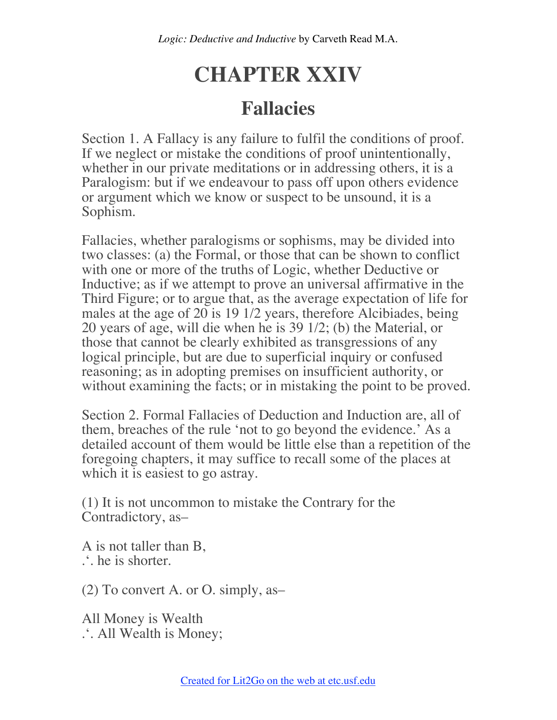## **CHAPTER XXIV**

## **Fallacies**

Section 1. A Fallacy is any failure to fulfil the conditions of proof. If we neglect or mistake the conditions of proof unintentionally, whether in our private meditations or in addressing others, it is a Paralogism: but if we endeavour to pass off upon others evidence or argument which we know or suspect to be unsound, it is a Sophism.

Fallacies, whether paralogisms or sophisms, may be divided into two classes: (a) the Formal, or those that can be shown to conflict with one or more of the truths of Logic, whether Deductive or Inductive; as if we attempt to prove an universal affirmative in the Third Figure; or to argue that, as the average expectation of life for males at the age of 20 is 19 1/2 years, therefore Alcibiades, being 20 years of age, will die when he is 39 1/2; (b) the Material, or those that cannot be clearly exhibited as transgressions of any logical principle, but are due to superficial inquiry or confused reasoning; as in adopting premises on insufficient authority, or without examining the facts; or in mistaking the point to be proved.

Section 2. Formal Fallacies of Deduction and Induction are, all of them, breaches of the rule 'not to go beyond the evidence.' As a detailed account of them would be little else than a repetition of the foregoing chapters, it may suffice to recall some of the places at which it is easiest to go astray.

(1) It is not uncommon to mistake the Contrary for the Contradictory, as–

A is not taller than B, .'. he is shorter.

(2) To convert A. or O. simply, as–

All Money is Wealth .'. All Wealth is Money;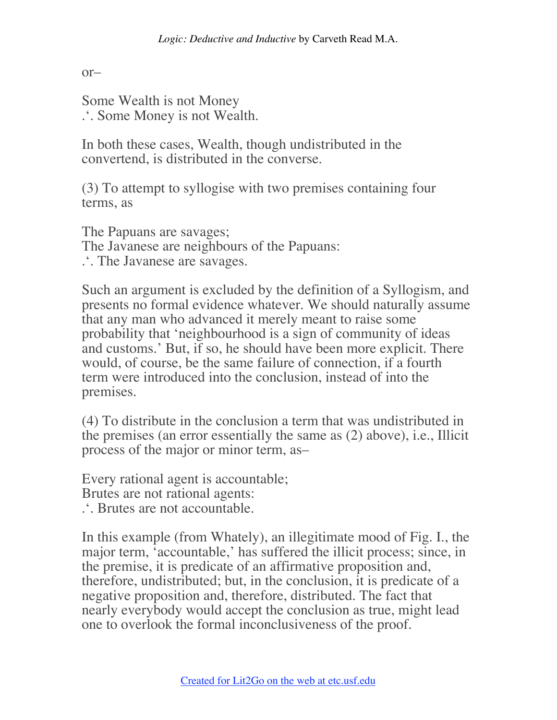$or-$ 

Some Wealth is not Money .'. Some Money is not Wealth.

In both these cases, Wealth, though undistributed in the convertend, is distributed in the converse.

(3) To attempt to syllogise with two premises containing four terms, as

The Papuans are savages; The Javanese are neighbours of the Papuans: .'. The Javanese are savages.

Such an argument is excluded by the definition of a Syllogism, and presents no formal evidence whatever. We should naturally assume that any man who advanced it merely meant to raise some probability that 'neighbourhood is a sign of community of ideas and customs.' But, if so, he should have been more explicit. There would, of course, be the same failure of connection, if a fourth term were introduced into the conclusion, instead of into the premises.

(4) To distribute in the conclusion a term that was undistributed in the premises (an error essentially the same as (2) above), i.e., Illicit process of the major or minor term, as–

Every rational agent is accountable;

Brutes are not rational agents:

.'. Brutes are not accountable.

In this example (from Whately), an illegitimate mood of Fig. I., the major term, 'accountable,' has suffered the illicit process; since, in the premise, it is predicate of an affirmative proposition and, therefore, undistributed; but, in the conclusion, it is predicate of a negative proposition and, therefore, distributed. The fact that nearly everybody would accept the conclusion as true, might lead one to overlook the formal inconclusiveness of the proof.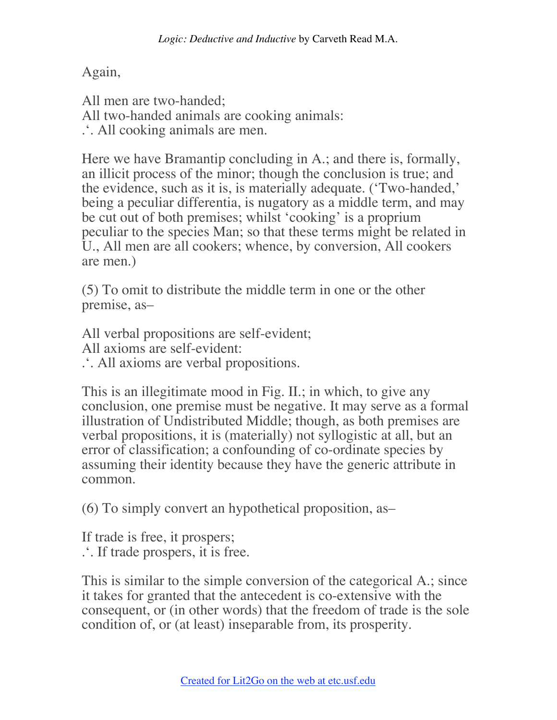Again,

All men are two-handed; All two-handed animals are cooking animals: .'. All cooking animals are men.

Here we have Bramantip concluding in A.; and there is, formally, an illicit process of the minor; though the conclusion is true; and the evidence, such as it is, is materially adequate. ('Two-handed,' being a peculiar differentia, is nugatory as a middle term, and may be cut out of both premises; whilst 'cooking' is a proprium peculiar to the species Man; so that these terms might be related in U., All men are all cookers; whence, by conversion, All cookers are men.)

(5) To omit to distribute the middle term in one or the other premise, as–

All verbal propositions are self-evident; All axioms are self-evident:

.'. All axioms are verbal propositions.

This is an illegitimate mood in Fig. II.; in which, to give any conclusion, one premise must be negative. It may serve as a formal illustration of Undistributed Middle; though, as both premises are verbal propositions, it is (materially) not syllogistic at all, but an error of classification; a confounding of co-ordinate species by assuming their identity because they have the generic attribute in common.

(6) To simply convert an hypothetical proposition, as–

If trade is free, it prospers; .'. If trade prospers, it is free.

This is similar to the simple conversion of the categorical A.; since it takes for granted that the antecedent is co-extensive with the consequent, or (in other words) that the freedom of trade is the sole condition of, or (at least) inseparable from, its prosperity.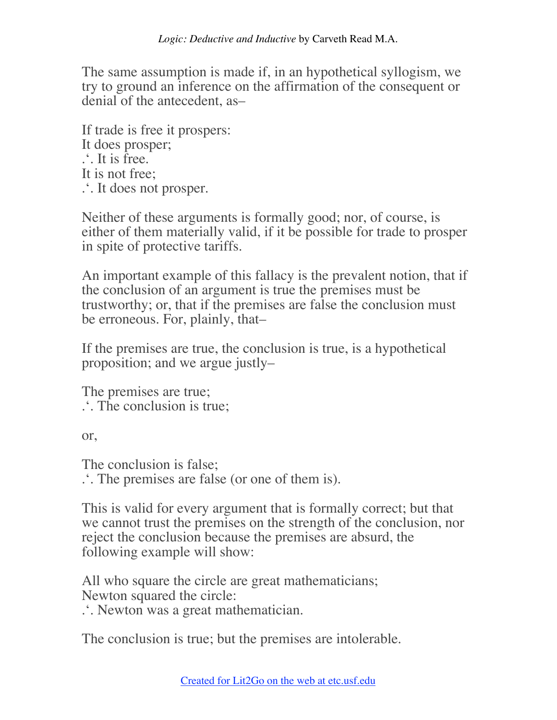The same assumption is made if, in an hypothetical syllogism, we try to ground an inference on the affirmation of the consequent or denial of the antecedent, as–

If trade is free it prospers: It does prosper; .'. It is free. It is not free; .'. It does not prosper.

Neither of these arguments is formally good; nor, of course, is either of them materially valid, if it be possible for trade to prosper in spite of protective tariffs.

An important example of this fallacy is the prevalent notion, that if the conclusion of an argument is true the premises must be trustworthy; or, that if the premises are false the conclusion must be erroneous. For, plainly, that–

If the premises are true, the conclusion is true, is a hypothetical proposition; and we argue justly–

The premises are true; .'. The conclusion is true;

or,

The conclusion is false; .'. The premises are false (or one of them is).

This is valid for every argument that is formally correct; but that we cannot trust the premises on the strength of the conclusion, nor reject the conclusion because the premises are absurd, the following example will show:

All who square the circle are great mathematicians; Newton squared the circle:

.'. Newton was a great mathematician.

The conclusion is true; but the premises are intolerable.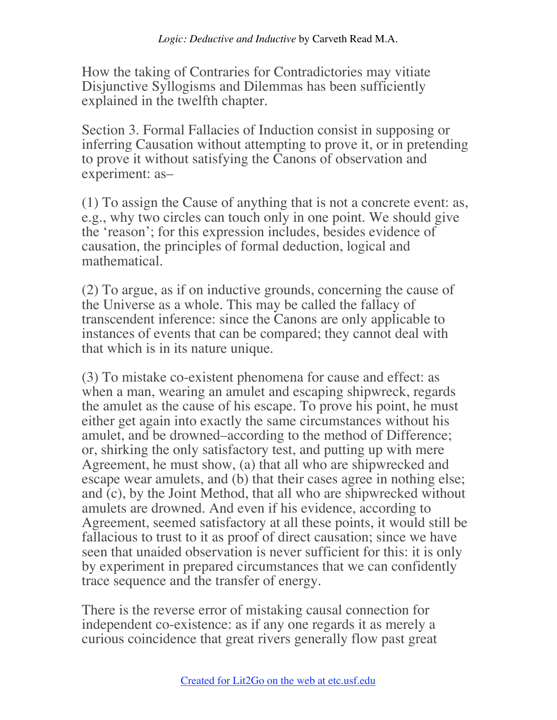How the taking of Contraries for Contradictories may vitiate Disjunctive Syllogisms and Dilemmas has been sufficiently explained in the twelfth chapter.

Section 3. Formal Fallacies of Induction consist in supposing or inferring Causation without attempting to prove it, or in pretending to prove it without satisfying the Canons of observation and experiment: as–

(1) To assign the Cause of anything that is not a concrete event: as, e.g., why two circles can touch only in one point. We should give the 'reason'; for this expression includes, besides evidence of causation, the principles of formal deduction, logical and mathematical.

(2) To argue, as if on inductive grounds, concerning the cause of the Universe as a whole. This may be called the fallacy of transcendent inference: since the Canons are only applicable to instances of events that can be compared; they cannot deal with that which is in its nature unique.

(3) To mistake co-existent phenomena for cause and effect: as when a man, wearing an amulet and escaping shipwreck, regards the amulet as the cause of his escape. To prove his point, he must either get again into exactly the same circumstances without his amulet, and be drowned–according to the method of Difference; or, shirking the only satisfactory test, and putting up with mere Agreement, he must show, (a) that all who are shipwrecked and escape wear amulets, and (b) that their cases agree in nothing else; and (c), by the Joint Method, that all who are shipwrecked without amulets are drowned. And even if his evidence, according to Agreement, seemed satisfactory at all these points, it would still be fallacious to trust to it as proof of direct causation; since we have seen that unaided observation is never sufficient for this: it is only by experiment in prepared circumstances that we can confidently trace sequence and the transfer of energy.

There is the reverse error of mistaking causal connection for independent co-existence: as if any one regards it as merely a curious coincidence that great rivers generally flow past great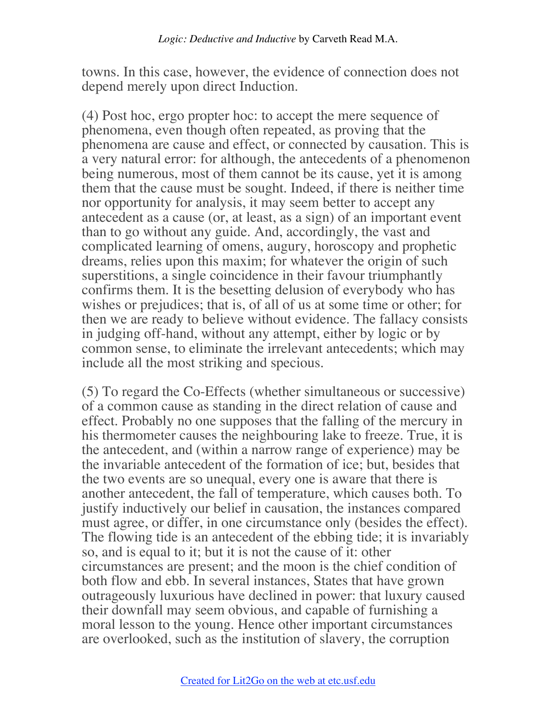towns. In this case, however, the evidence of connection does not depend merely upon direct Induction.

(4) Post hoc, ergo propter hoc: to accept the mere sequence of phenomena, even though often repeated, as proving that the phenomena are cause and effect, or connected by causation. This is a very natural error: for although, the antecedents of a phenomenon being numerous, most of them cannot be its cause, yet it is among them that the cause must be sought. Indeed, if there is neither time nor opportunity for analysis, it may seem better to accept any antecedent as a cause (or, at least, as a sign) of an important event than to go without any guide. And, accordingly, the vast and complicated learning of omens, augury, horoscopy and prophetic dreams, relies upon this maxim; for whatever the origin of such superstitions, a single coincidence in their favour triumphantly confirms them. It is the besetting delusion of everybody who has wishes or prejudices; that is, of all of us at some time or other; for then we are ready to believe without evidence. The fallacy consists in judging off-hand, without any attempt, either by logic or by common sense, to eliminate the irrelevant antecedents; which may include all the most striking and specious.

(5) To regard the Co-Effects (whether simultaneous or successive) of a common cause as standing in the direct relation of cause and effect. Probably no one supposes that the falling of the mercury in his thermometer causes the neighbouring lake to freeze. True, it is the antecedent, and (within a narrow range of experience) may be the invariable antecedent of the formation of ice; but, besides that the two events are so unequal, every one is aware that there is another antecedent, the fall of temperature, which causes both. To justify inductively our belief in causation, the instances compared must agree, or differ, in one circumstance only (besides the effect). The flowing tide is an antecedent of the ebbing tide; it is invariably so, and is equal to it; but it is not the cause of it: other circumstances are present; and the moon is the chief condition of both flow and ebb. In several instances, States that have grown outrageously luxurious have declined in power: that luxury caused their downfall may seem obvious, and capable of furnishing a moral lesson to the young. Hence other important circumstances are overlooked, such as the institution of slavery, the corruption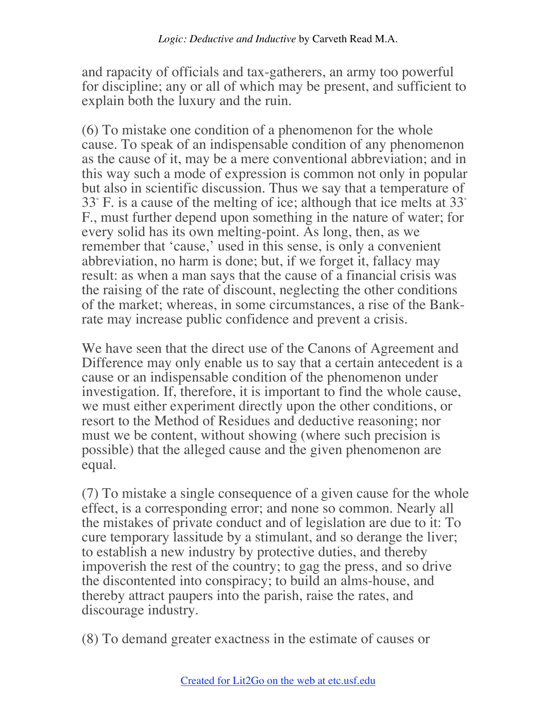and rapacity of officials and tax-gatherers, an army too powerful for discipline; any or all of which may be present, and sufficient to explain both the luxury and the ruin.

(6) To mistake one condition of a phenomenon for the whole cause. To speak of an indispensable condition of any phenomenon as the cause of it, may be a mere conventional abbreviation; and in this way such a mode of expression is common not only in popular but also in scientific discussion. Thus we say that a temperature of 33° F. is a cause of the melting of ice; although that ice melts at 33° F., must further depend upon something in the nature of water; for every solid has its own melting-point. As long, then, as we remember that 'cause,' used in this sense, is only a convenient abbreviation, no harm is done; but, if we forget it, fallacy may result: as when a man says that the cause of a financial crisis was the raising of the rate of discount, neglecting the other conditions of the market; whereas, in some circumstances, a rise of the Bankrate may increase public confidence and prevent a crisis.

We have seen that the direct use of the Canons of Agreement and Difference may only enable us to say that a certain antecedent is a cause or an indispensable condition of the phenomenon under investigation. If, therefore, it is important to find the whole cause, we must either experiment directly upon the other conditions, or resort to the Method of Residues and deductive reasoning; nor must we be content, without showing (where such precision is possible) that the alleged cause and the given phenomenon are equal.

(7) To mistake a single consequence of a given cause for the whole effect, is a corresponding error; and none so common. Nearly all the mistakes of private conduct and of legislation are due to it: To cure temporary lassitude by a stimulant, and so derange the liver; to establish a new industry by protective duties, and thereby impoverish the rest of the country; to gag the press, and so drive the discontented into conspiracy; to build an alms-house, and thereby attract paupers into the parish, raise the rates, and discourage industry.

(8) To demand greater exactness in the estimate of causes or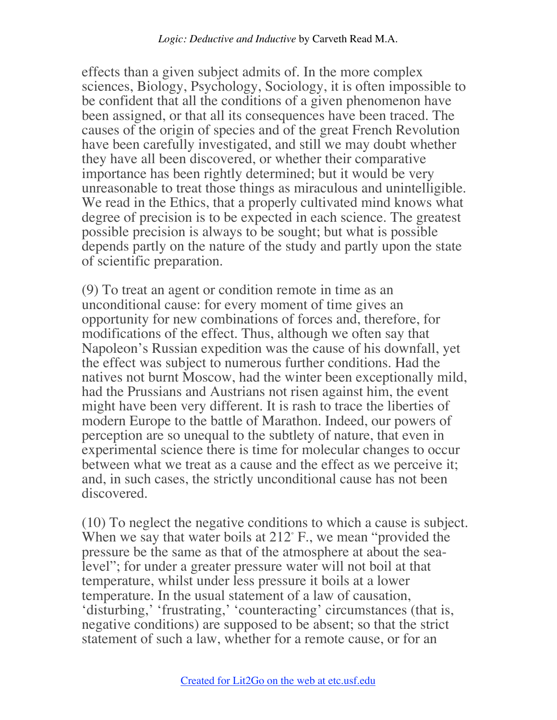effects than a given subject admits of. In the more complex sciences, Biology, Psychology, Sociology, it is often impossible to be confident that all the conditions of a given phenomenon have been assigned, or that all its consequences have been traced. The causes of the origin of species and of the great French Revolution have been carefully investigated, and still we may doubt whether they have all been discovered, or whether their comparative importance has been rightly determined; but it would be very unreasonable to treat those things as miraculous and unintelligible. We read in the Ethics, that a properly cultivated mind knows what degree of precision is to be expected in each science. The greatest possible precision is always to be sought; but what is possible depends partly on the nature of the study and partly upon the state of scientific preparation.

(9) To treat an agent or condition remote in time as an unconditional cause: for every moment of time gives an opportunity for new combinations of forces and, therefore, for modifications of the effect. Thus, although we often say that Napoleon's Russian expedition was the cause of his downfall, yet the effect was subject to numerous further conditions. Had the natives not burnt Moscow, had the winter been exceptionally mild, had the Prussians and Austrians not risen against him, the event might have been very different. It is rash to trace the liberties of modern Europe to the battle of Marathon. Indeed, our powers of perception are so unequal to the subtlety of nature, that even in experimental science there is time for molecular changes to occur between what we treat as a cause and the effect as we perceive it; and, in such cases, the strictly unconditional cause has not been discovered.

(10) To neglect the negative conditions to which a cause is subject. When we say that water boils at 212° F., we mean "provided the pressure be the same as that of the atmosphere at about the sealevel"; for under a greater pressure water will not boil at that temperature, whilst under less pressure it boils at a lower temperature. In the usual statement of a law of causation, 'disturbing,' 'frustrating,' 'counteracting' circumstances (that is, negative conditions) are supposed to be absent; so that the strict statement of such a law, whether for a remote cause, or for an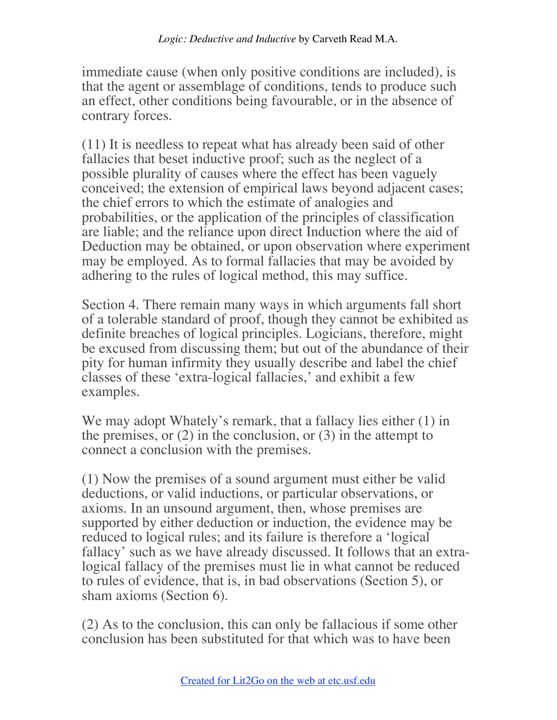immediate cause (when only positive conditions are included), is that the agent or assemblage of conditions, tends to produce such an effect, other conditions being favourable, or in the absence of contrary forces.

(11) It is needless to repeat what has already been said of other fallacies that beset inductive proof; such as the neglect of a possible plurality of causes where the effect has been vaguely conceived; the extension of empirical laws beyond adjacent cases; the chief errors to which the estimate of analogies and probabilities, or the application of the principles of classification are liable; and the reliance upon direct Induction where the aid of Deduction may be obtained, or upon observation where experiment may be employed. As to formal fallacies that may be avoided by adhering to the rules of logical method, this may suffice.

Section 4. There remain many ways in which arguments fall short of a tolerable standard of proof, though they cannot be exhibited as definite breaches of logical principles. Logicians, therefore, might be excused from discussing them; but out of the abundance of their pity for human infirmity they usually describe and label the chief classes of these 'extra-logical fallacies,' and exhibit a few examples.

We may adopt Whately's remark, that a fallacy lies either  $(1)$  in the premises, or  $(2)$  in the conclusion, or  $(3)$  in the attempt to connect a conclusion with the premises.

(1) Now the premises of a sound argument must either be valid deductions, or valid inductions, or particular observations, or axioms. In an unsound argument, then, whose premises are supported by either deduction or induction, the evidence may be reduced to logical rules; and its failure is therefore a 'logical fallacy' such as we have already discussed. It follows that an extralogical fallacy of the premises must lie in what cannot be reduced to rules of evidence, that is, in bad observations (Section 5), or sham axioms (Section 6).

(2) As to the conclusion, this can only be fallacious if some other conclusion has been substituted for that which was to have been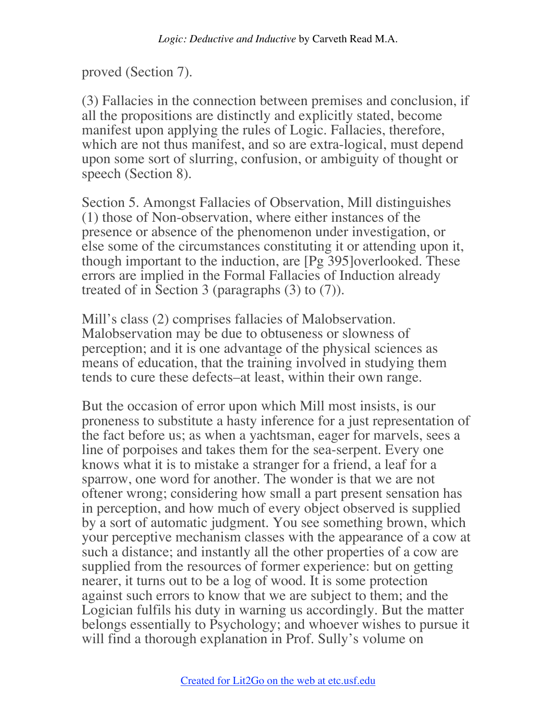proved (Section 7).

(3) Fallacies in the connection between premises and conclusion, if all the propositions are distinctly and explicitly stated, become manifest upon applying the rules of Logic. Fallacies, therefore, which are not thus manifest, and so are extra-logical, must depend upon some sort of slurring, confusion, or ambiguity of thought or speech (Section 8).

Section 5. Amongst Fallacies of Observation, Mill distinguishes (1) those of Non-observation, where either instances of the presence or absence of the phenomenon under investigation, or else some of the circumstances constituting it or attending upon it, though important to the induction, are [Pg 395]overlooked. These errors are implied in the Formal Fallacies of Induction already treated of in Section 3 (paragraphs (3) to (7)).

Mill's class (2) comprises fallacies of Malobservation. Malobservation may be due to obtuseness or slowness of perception; and it is one advantage of the physical sciences as means of education, that the training involved in studying them tends to cure these defects–at least, within their own range.

But the occasion of error upon which Mill most insists, is our proneness to substitute a hasty inference for a just representation of the fact before us; as when a yachtsman, eager for marvels, sees a line of porpoises and takes them for the sea-serpent. Every one knows what it is to mistake a stranger for a friend, a leaf for a sparrow, one word for another. The wonder is that we are not oftener wrong; considering how small a part present sensation has in perception, and how much of every object observed is supplied by a sort of automatic judgment. You see something brown, which your perceptive mechanism classes with the appearance of a cow at such a distance; and instantly all the other properties of a cow are supplied from the resources of former experience: but on getting nearer, it turns out to be a log of wood. It is some protection against such errors to know that we are subject to them; and the Logician fulfils his duty in warning us accordingly. But the matter belongs essentially to Psychology; and whoever wishes to pursue it will find a thorough explanation in Prof. Sully's volume on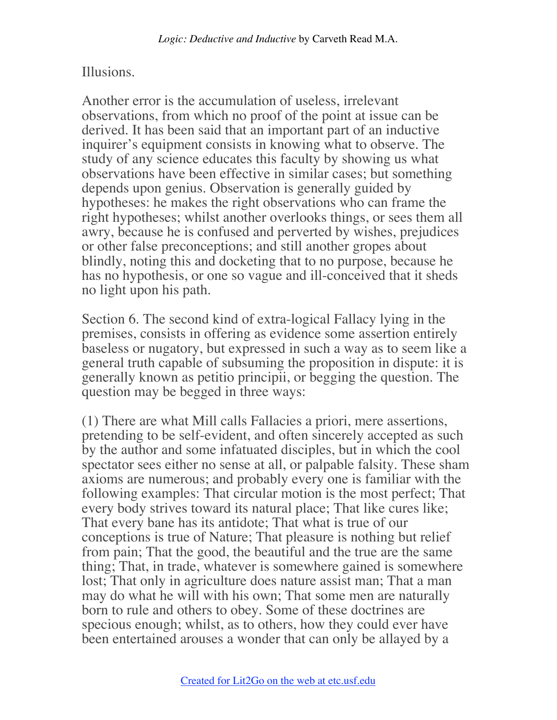## Illusions.

Another error is the accumulation of useless, irrelevant observations, from which no proof of the point at issue can be derived. It has been said that an important part of an inductive inquirer's equipment consists in knowing what to observe. The study of any science educates this faculty by showing us what observations have been effective in similar cases; but something depends upon genius. Observation is generally guided by hypotheses: he makes the right observations who can frame the right hypotheses; whilst another overlooks things, or sees them all awry, because he is confused and perverted by wishes, prejudices or other false preconceptions; and still another gropes about blindly, noting this and docketing that to no purpose, because he has no hypothesis, or one so vague and ill-conceived that it sheds no light upon his path.

Section 6. The second kind of extra-logical Fallacy lying in the premises, consists in offering as evidence some assertion entirely baseless or nugatory, but expressed in such a way as to seem like a general truth capable of subsuming the proposition in dispute: it is generally known as petitio principii, or begging the question. The question may be begged in three ways:

(1) There are what Mill calls Fallacies a priori, mere assertions, pretending to be self-evident, and often sincerely accepted as such by the author and some infatuated disciples, but in which the cool spectator sees either no sense at all, or palpable falsity. These sham axioms are numerous; and probably every one is familiar with the following examples: That circular motion is the most perfect; That every body strives toward its natural place; That like cures like; That every bane has its antidote; That what is true of our conceptions is true of Nature; That pleasure is nothing but relief from pain; That the good, the beautiful and the true are the same thing; That, in trade, whatever is somewhere gained is somewhere lost; That only in agriculture does nature assist man; That a man may do what he will with his own; That some men are naturally born to rule and others to obey. Some of these doctrines are specious enough; whilst, as to others, how they could ever have been entertained arouses a wonder that can only be allayed by a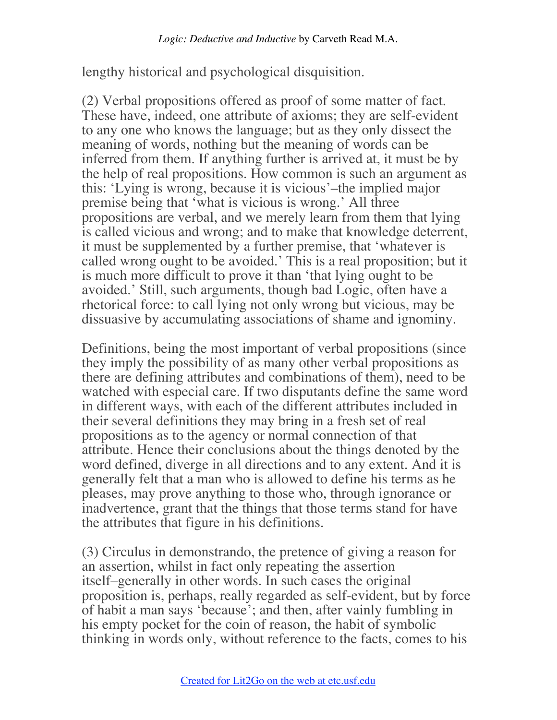lengthy historical and psychological disquisition.

(2) Verbal propositions offered as proof of some matter of fact. These have, indeed, one attribute of axioms; they are self-evident to any one who knows the language; but as they only dissect the meaning of words, nothing but the meaning of words can be inferred from them. If anything further is arrived at, it must be by the help of real propositions. How common is such an argument as this: 'Lying is wrong, because it is vicious'–the implied major premise being that 'what is vicious is wrong.' All three propositions are verbal, and we merely learn from them that lying is called vicious and wrong; and to make that knowledge deterrent, it must be supplemented by a further premise, that 'whatever is called wrong ought to be avoided.' This is a real proposition; but it is much more difficult to prove it than 'that lying ought to be avoided.' Still, such arguments, though bad Logic, often have a rhetorical force: to call lying not only wrong but vicious, may be dissuasive by accumulating associations of shame and ignominy.

Definitions, being the most important of verbal propositions (since they imply the possibility of as many other verbal propositions as there are defining attributes and combinations of them), need to be watched with especial care. If two disputants define the same word in different ways, with each of the different attributes included in their several definitions they may bring in a fresh set of real propositions as to the agency or normal connection of that attribute. Hence their conclusions about the things denoted by the word defined, diverge in all directions and to any extent. And it is generally felt that a man who is allowed to define his terms as he pleases, may prove anything to those who, through ignorance or inadvertence, grant that the things that those terms stand for have the attributes that figure in his definitions.

(3) Circulus in demonstrando, the pretence of giving a reason for an assertion, whilst in fact only repeating the assertion itself–generally in other words. In such cases the original proposition is, perhaps, really regarded as self-evident, but by force of habit a man says 'because'; and then, after vainly fumbling in his empty pocket for the coin of reason, the habit of symbolic thinking in words only, without reference to the facts, comes to his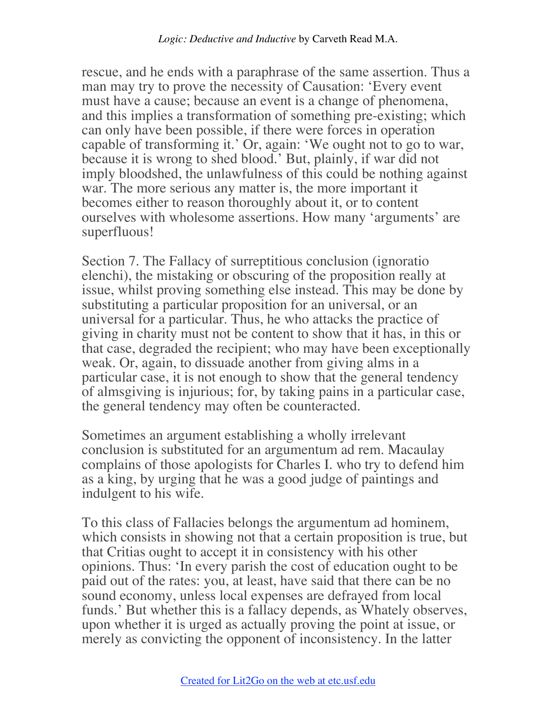rescue, and he ends with a paraphrase of the same assertion. Thus a man may try to prove the necessity of Causation: 'Every event must have a cause; because an event is a change of phenomena, and this implies a transformation of something pre-existing; which can only have been possible, if there were forces in operation capable of transforming it.' Or, again: 'We ought not to go to war, because it is wrong to shed blood.' But, plainly, if war did not imply bloodshed, the unlawfulness of this could be nothing against war. The more serious any matter is, the more important it becomes either to reason thoroughly about it, or to content ourselves with wholesome assertions. How many 'arguments' are superfluous!

Section 7. The Fallacy of surreptitious conclusion (ignoratio elenchi), the mistaking or obscuring of the proposition really at issue, whilst proving something else instead. This may be done by substituting a particular proposition for an universal, or an universal for a particular. Thus, he who attacks the practice of giving in charity must not be content to show that it has, in this or that case, degraded the recipient; who may have been exceptionally weak. Or, again, to dissuade another from giving alms in a particular case, it is not enough to show that the general tendency of almsgiving is injurious; for, by taking pains in a particular case, the general tendency may often be counteracted.

Sometimes an argument establishing a wholly irrelevant conclusion is substituted for an argumentum ad rem. Macaulay complains of those apologists for Charles I. who try to defend him as a king, by urging that he was a good judge of paintings and indulgent to his wife.

To this class of Fallacies belongs the argumentum ad hominem, which consists in showing not that a certain proposition is true, but that Critias ought to accept it in consistency with his other opinions. Thus: 'In every parish the cost of education ought to be paid out of the rates: you, at least, have said that there can be no sound economy, unless local expenses are defrayed from local funds.' But whether this is a fallacy depends, as Whately observes, upon whether it is urged as actually proving the point at issue, or merely as convicting the opponent of inconsistency. In the latter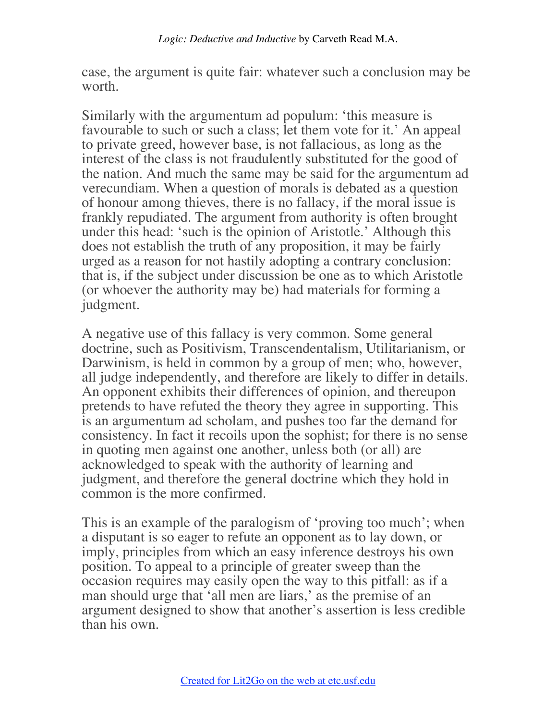case, the argument is quite fair: whatever such a conclusion may be worth.

Similarly with the argumentum ad populum: 'this measure is favourable to such or such a class; let them vote for it.' An appeal to private greed, however base, is not fallacious, as long as the interest of the class is not fraudulently substituted for the good of the nation. And much the same may be said for the argumentum ad verecundiam. When a question of morals is debated as a question of honour among thieves, there is no fallacy, if the moral issue is frankly repudiated. The argument from authority is often brought under this head: 'such is the opinion of Aristotle.' Although this does not establish the truth of any proposition, it may be fairly urged as a reason for not hastily adopting a contrary conclusion: that is, if the subject under discussion be one as to which Aristotle (or whoever the authority may be) had materials for forming a judgment.

A negative use of this fallacy is very common. Some general doctrine, such as Positivism, Transcendentalism, Utilitarianism, or Darwinism, is held in common by a group of men; who, however, all judge independently, and therefore are likely to differ in details. An opponent exhibits their differences of opinion, and thereupon pretends to have refuted the theory they agree in supporting. This is an argumentum ad scholam, and pushes too far the demand for consistency. In fact it recoils upon the sophist; for there is no sense in quoting men against one another, unless both (or all) are acknowledged to speak with the authority of learning and judgment, and therefore the general doctrine which they hold in common is the more confirmed.

This is an example of the paralogism of 'proving too much'; when a disputant is so eager to refute an opponent as to lay down, or imply, principles from which an easy inference destroys his own position. To appeal to a principle of greater sweep than the occasion requires may easily open the way to this pitfall: as if a man should urge that 'all men are liars,' as the premise of an argument designed to show that another's assertion is less credible than his own.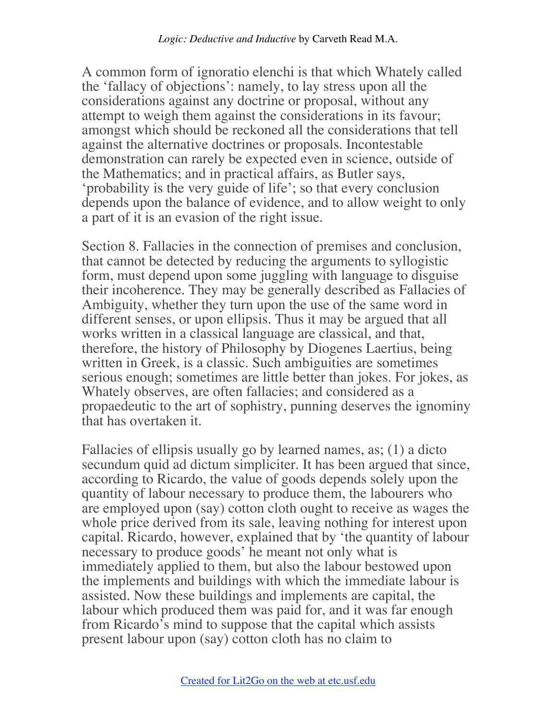A common form of ignoratio elenchi is that which Whately called the 'fallacy of objections': namely, to lay stress upon all the considerations against any doctrine or proposal, without any attempt to weigh them against the considerations in its favour; amongst which should be reckoned all the considerations that tell against the alternative doctrines or proposals. Incontestable demonstration can rarely be expected even in science, outside of the Mathematics; and in practical affairs, as Butler says, 'probability is the very guide of life'; so that every conclusion depends upon the balance of evidence, and to allow weight to only a part of it is an evasion of the right issue.

Section 8. Fallacies in the connection of premises and conclusion, that cannot be detected by reducing the arguments to syllogistic form, must depend upon some juggling with language to disguise their incoherence. They may be generally described as Fallacies of Ambiguity, whether they turn upon the use of the same word in different senses, or upon ellipsis. Thus it may be argued that all works written in a classical language are classical, and that, therefore, the history of Philosophy by Diogenes Laertius, being written in Greek, is a classic. Such ambiguities are sometimes serious enough; sometimes are little better than jokes. For jokes, as Whately observes, are often fallacies; and considered as a propaedeutic to the art of sophistry, punning deserves the ignominy that has overtaken it.

Fallacies of ellipsis usually go by learned names, as; (1) a dicto secundum quid ad dictum simpliciter. It has been argued that since, according to Ricardo, the value of goods depends solely upon the quantity of labour necessary to produce them, the labourers who are employed upon (say) cotton cloth ought to receive as wages the whole price derived from its sale, leaving nothing for interest upon capital. Ricardo, however, explained that by 'the quantity of labour necessary to produce goods' he meant not only what is immediately applied to them, but also the labour bestowed upon the implements and buildings with which the immediate labour is assisted. Now these buildings and implements are capital, the labour which produced them was paid for, and it was far enough from Ricardo's mind to suppose that the capital which assists present labour upon (say) cotton cloth has no claim to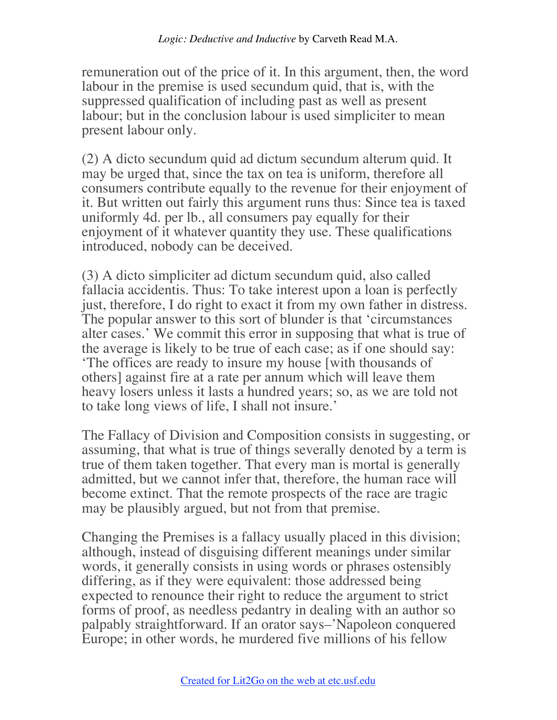remuneration out of the price of it. In this argument, then, the word labour in the premise is used secundum quid, that is, with the suppressed qualification of including past as well as present labour; but in the conclusion labour is used simpliciter to mean present labour only.

(2) A dicto secundum quid ad dictum secundum alterum quid. It may be urged that, since the tax on tea is uniform, therefore all consumers contribute equally to the revenue for their enjoyment of it. But written out fairly this argument runs thus: Since tea is taxed uniformly 4d. per lb., all consumers pay equally for their enjoyment of it whatever quantity they use. These qualifications introduced, nobody can be deceived.

(3) A dicto simpliciter ad dictum secundum quid, also called fallacia accidentis. Thus: To take interest upon a loan is perfectly just, therefore, I do right to exact it from my own father in distress. The popular answer to this sort of blunder is that 'circumstances alter cases.' We commit this error in supposing that what is true of the average is likely to be true of each case; as if one should say: 'The offices are ready to insure my house [with thousands of others] against fire at a rate per annum which will leave them heavy losers unless it lasts a hundred years; so, as we are told not to take long views of life, I shall not insure.'

The Fallacy of Division and Composition consists in suggesting, or assuming, that what is true of things severally denoted by a term is true of them taken together. That every man is mortal is generally admitted, but we cannot infer that, therefore, the human race will become extinct. That the remote prospects of the race are tragic may be plausibly argued, but not from that premise.

Changing the Premises is a fallacy usually placed in this division; although, instead of disguising different meanings under similar words, it generally consists in using words or phrases ostensibly differing, as if they were equivalent: those addressed being expected to renounce their right to reduce the argument to strict forms of proof, as needless pedantry in dealing with an author so palpably straightforward. If an orator says–'Napoleon conquered Europe; in other words, he murdered five millions of his fellow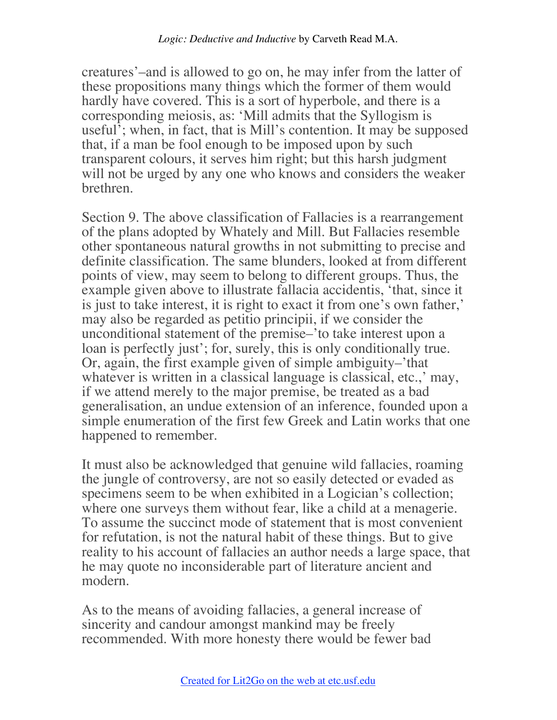creatures'–and is allowed to go on, he may infer from the latter of these propositions many things which the former of them would hardly have covered. This is a sort of hyperbole, and there is a corresponding meiosis, as: 'Mill admits that the Syllogism is useful'; when, in fact, that is Mill's contention. It may be supposed that, if a man be fool enough to be imposed upon by such transparent colours, it serves him right; but this harsh judgment will not be urged by any one who knows and considers the weaker brethren.

Section 9. The above classification of Fallacies is a rearrangement of the plans adopted by Whately and Mill. But Fallacies resemble other spontaneous natural growths in not submitting to precise and definite classification. The same blunders, looked at from different points of view, may seem to belong to different groups. Thus, the example given above to illustrate fallacia accidentis, 'that, since it is just to take interest, it is right to exact it from one's own father,' may also be regarded as petitio principii, if we consider the unconditional statement of the premise–'to take interest upon a loan is perfectly just'; for, surely, this is only conditionally true. Or, again, the first example given of simple ambiguity–'that whatever is written in a classical language is classical, etc.,' may, if we attend merely to the major premise, be treated as a bad generalisation, an undue extension of an inference, founded upon a simple enumeration of the first few Greek and Latin works that one happened to remember.

It must also be acknowledged that genuine wild fallacies, roaming the jungle of controversy, are not so easily detected or evaded as specimens seem to be when exhibited in a Logician's collection; where one surveys them without fear, like a child at a menagerie. To assume the succinct mode of statement that is most convenient for refutation, is not the natural habit of these things. But to give reality to his account of fallacies an author needs a large space, that he may quote no inconsiderable part of literature ancient and modern.

As to the means of avoiding fallacies, a general increase of sincerity and candour amongst mankind may be freely recommended. With more honesty there would be fewer bad